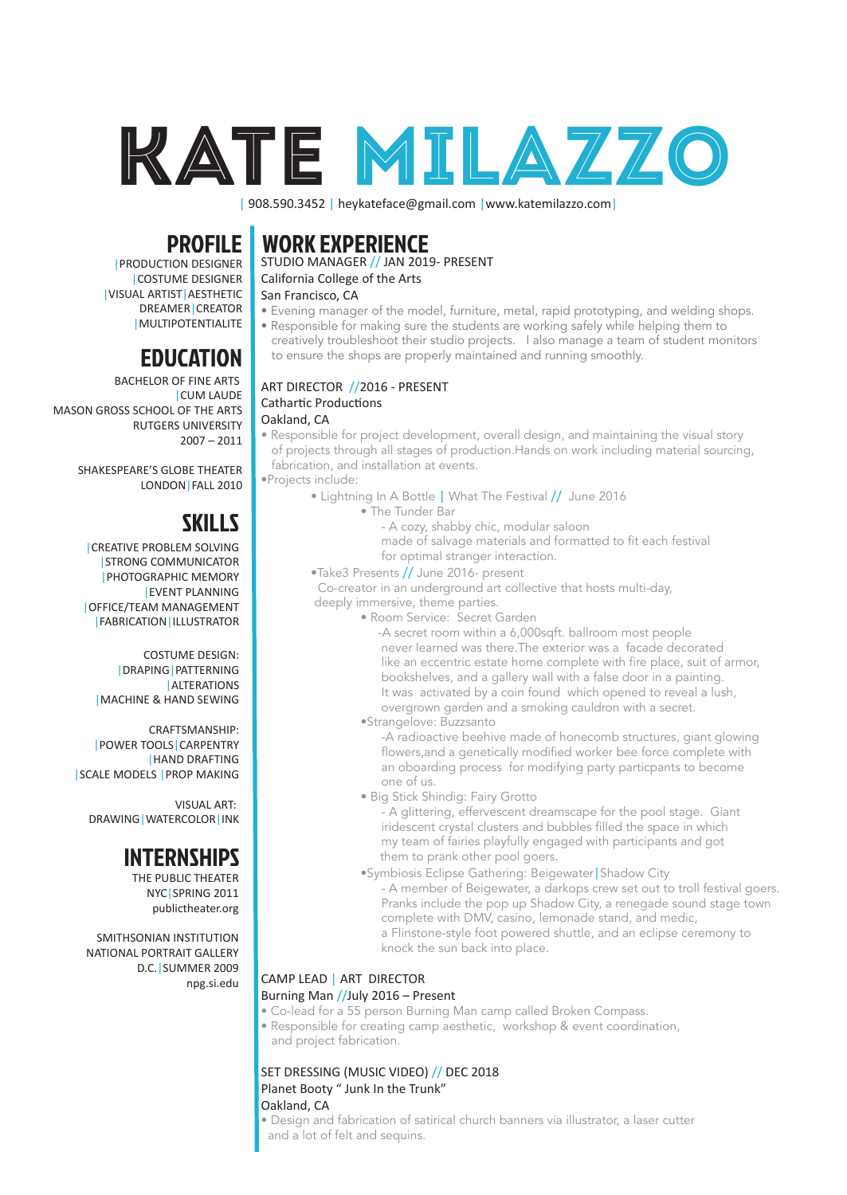

| 908.590.3452 | heykateface@gmail.com | www.katemilazzo.com |

# WORK EXPERIENCE

# STUDIO MANAGER // JAN 2019- PRESENT

# California College of the Arts

### San Francisco, CA

- Evening manager of the model, furniture, metal, rapid prototyping, and welding shops. • Responsible for making sure the students are working safely while helping them to
- creatively troubleshoot their studio projects. I also manage a team of student monitors to ensure the shops are properly maintained and running smoothly.

#### ART DIRECTOR //2016 - PRESENT Cathartic Productions Oakland, CA

• Responsible for project development, overall design, and maintaining the visual story of projects through all stages of production.Hands on work including material sourcing, fabrication, and installation at events.

•Projects include:

- Lightning In A Bottle | What The Festival // June 2016
	- The Tunder Bar
		- A cozy, shabby chic, modular saloon

 made of salvage materials and formatted to fit each festival for optimal stranger interaction.

•Take3 Presents // June 2016- present

 Co-creator in an underground art collective that hosts multi-day, deeply immersive, theme parties.

- Room Service: Secret Garden
	- -A secret room within a 6,000sqft. ballroom most people never learned was there.The exterior was a facade decorated like an eccentric estate home complete with fire place, suit of armor, bookshelves, and a gallery wall with a false door in a painting. It was activated by a coin found which opened to reveal a lush, overgrown garden and a smoking cauldron with a secret.
	- •Strangelove: Buzzsanto

 -A radioactive beehive made of honecomb structures, giant glowing flowers,and a genetically modified worker bee force complete with an oboarding process for modifying party particpants to become one of us.

• Big Stick Shindig: Fairy Grotto

 - A glittering, effervescent dreamscape for the pool stage. Giant iridescent crystal clusters and bubbles filled the space in which my team of fairies playfully engaged with participants and got them to prank other pool goers.

 •Symbiosis Eclipse Gathering: Beigewater|Shadow City - A member of Beigewater, a darkops crew set out to troll festival goers. Pranks include the pop up Shadow City, a renegade sound stage town complete with DMV, casino, lemonade stand, and medic, a Flinstone-style foot powered shuttle, and an eclipse ceremony to knock the sun back into place.

### CAMP LEAD | ART DIRECTOR

#### Burning Man //July 2016 – Present

- Co-lead for a 55 person Burning Man camp called Broken Compass.
- Responsible for creating camp aesthetic, workshop & event coordination, and project fabrication.

SET DRESSING (MUSIC VIDEO) // DEC 2018 Planet Booty " Junk In the Trunk"

#### Oakland, CA

• Design and fabrication of satirical church banners via illustrator, a laser cutter and a lot of felt and sequins.

# PROFILE

|PRODUCTION DESIGNER |COSTUME DESIGNER |VISUAL ARTIST|AESTHETIC DREAMER|CREATOR |MULTIPOTENTIALITE |

# EDUCATION

BACHELOR OF FINE ARTS |CUM LAUDE MASON GROSS SCHOOL OF THE ARTS RUTGERS UNIVERSITY 2007 – 2011

> SHAKESPEARE'S GLOBE THEATER LONDON|FALL 2010

# SKILLS

|CREATIVE PROBLEM SOLVING |STRONG COMMUNICATOR |PHOTOGRAPHIC MEMORY |EVENT PLANNING |OFFICE/TEAM MANAGEMENT |FABRICATION|ILLUSTRATOR

COSTUME DESIGN: |DRAPING|PATTERNING |ALTERATIONS |MACHINE & HAND SEWING

CRAFTSMANSHIP: |POWER TOOLS|CARPENTRY |HAND DRAFTING |SCALE MODELS |PROP MAKING

VISUAL ART: DRAWING|WATERCOLOR|INK

# **INTERNSHIPS**

THE PUBLIC THEATER NYC|SPRING 2011 publictheater.org

SMITHSONIAN INSTITUTION NATIONAL PORTRAIT GALLERY D.C.|SUMMER 2009 npg.si.edu